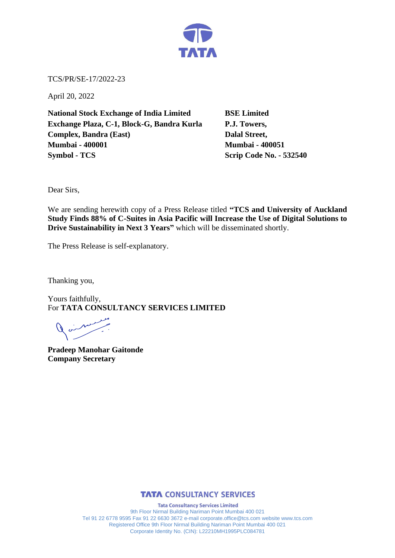

TCS/PR/SE-17/2022-23

April 20, 2022

**National Stock Exchange of India Limited BSE Limited Exchange Plaza, C-1, Block-G, Bandra Kurla P.J. Towers, Complex, Bandra (East)** Dalal Street, **Mumbai - 400001 Mumbai - 400051 Symbol - TCS Scrip Code No. - 532540** 

Dear Sirs,

We are sending herewith copy of a Press Release titled **"TCS and University of Auckland Study Finds 88% of C-Suites in Asia Pacific will Increase the Use of Digital Solutions to Drive Sustainability in Next 3 Years"** which will be disseminated shortly.

The Press Release is self-explanatory.

Thanking you,

Yours faithfully, For **TATA CONSULTANCY SERVICES LIMITED**

**Pradeep Manohar Gaitonde Company Secretary** 



**Tata Consultancy Services Limited** 9th Floor Nirmal Building Nariman Point Mumbai 400 021 Tel 91 22 6778 9595 Fax 91 22 6630 3672 e-mail corporate.office@tcs.com website www.tcs.com Registered Office 9th Floor Nirmal Building Nariman Point Mumbai 400 021 Corporate Identity No. (CIN): L22210MH1995PLC084781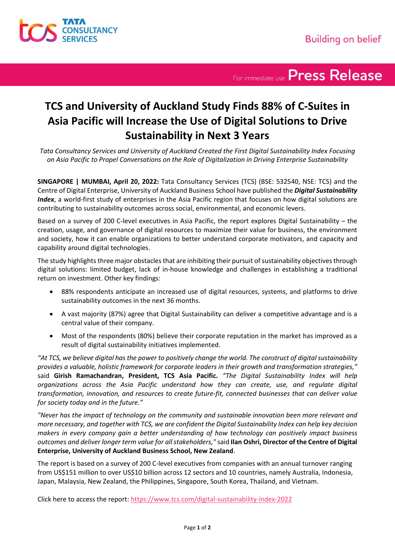

For immediate use Press Release

## **TCS and University of Auckland Study Finds 88% of C-Suites in Asia Pacific will Increase the Use of Digital Solutions to Drive Sustainability in Next 3 Years**

*Tata Consultancy Services and University of Auckland Created the First Digital Sustainability Index Focusing on Asia Pacific to Propel Conversations on the Role of Digitalization in Driving Enterprise Sustainability*

**SINGAPORE | MUMBAI, April 20, 2022:** Tata Consultancy Services (TCS) (BSE: 532540, NSE: TCS) and the Centre of Digital Enterprise, University of Auckland Business School have published the *Digital Sustainability Index*, a world-first study of enterprises in the Asia Pacific region that focuses on how digital solutions are contributing to sustainability outcomes across social, environmental, and economic levers.

Based on a survey of 200 C-level executives in Asia Pacific, the report explores Digital Sustainability – the creation, usage, and governance of digital resources to maximize their value for business, the environment and society, how it can enable organizations to better understand corporate motivators, and capacity and capability around digital technologies.

The study highlights three major obstacles that are inhibiting their pursuit of sustainability objectives through digital solutions: limited budget, lack of in-house knowledge and challenges in establishing a traditional return on investment. Other key findings:

- 88% respondents anticipate an increased use of digital resources, systems, and platforms to drive sustainability outcomes in the next 36 months.
- A vast majority (87%) agree that Digital Sustainability can deliver a competitive advantage and is a central value of their company.
- Most of the respondents (80%) believe their corporate reputation in the market has improved as a result of digital sustainability initiatives implemented.

*"At TCS, we believe digital has the power to positively change the world. The construct of digital sustainability provides a valuable, holistic framework for corporate leaders in their growth and transformation strategies,"*  said **Girish Ramachandran, President, TCS Asia Pacific.** *"The Digital Sustainability Index will help organizations across the Asia Pacific understand how they can create, use, and regulate digital transformation, innovation, and resources to create future-fit, connected businesses that can deliver value for society today and in the future."*

*"Never has the impact of technology on the community and sustainable innovation been more relevant and more necessary, and together with TCS, we are confident the Digital Sustainability Index can help key decision makers in every company gain a better understanding of how technology can positively impact business outcomes and deliver longer term value for all stakeholders,"* said **Ilan Oshri, Director of the Centre of Digital Enterprise, University of Auckland Business School, New Zealand**.

The report is based on a survey of 200 C-level executives from companies with an annual turnover ranging from US\$151 million to over US\$10 billion across 12 sectors and 10 countries, namely Australia, Indonesia, Japan, Malaysia, New Zealand, the Philippines, Singapore, South Korea, Thailand, and Vietnam.

Click here to access the report:<https://www.tcs.com/digital-sustainability-index-2022>